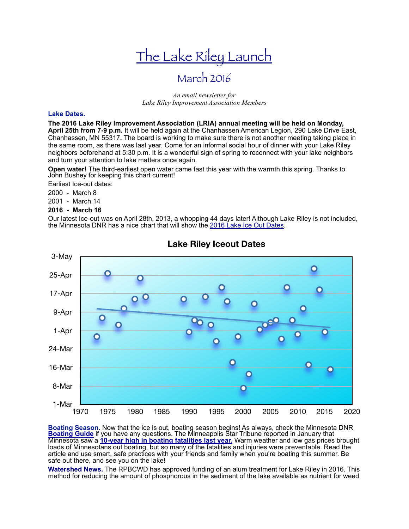# The Lake Riley Launch

## March 2016

#### *An email newsletter for Lake Riley Improvement Association Members*

#### **Lake Dates.**

**The 2016 Lake Riley Improvement Association (LRIA) annual meeting will be held on Monday, April 25th from 7-9 p.m.** It will be held again at the Chanhassen American Legion, 290 Lake Drive East, Chanhassen, MN 55317**.** The board is working to make sure there is not another meeting taking place in the same room, as there was last year. Come for an informal social hour of dinner with your Lake Riley neighbors beforehand at 5:30 p.m. It is a wonderful sign of spring to reconnect with your lake neighbors and turn your attention to lake matters once again.

**Open water!** The third-earliest open water came fast this year with the warmth this spring. Thanks to John Bushey for keeping this chart current!

Earliest Ice-out dates:

2000 - March 8

2001 - March 14

#### **2016 - March 16**

Our latest Ice-out was on April 28th, 2013, a whopping 44 days later! Although Lake Riley is not included, the Minnesota DNR has a nice chart that will show the [2016 Lake Ice Out Dates.](http://www.dnr.state.mn.us/ice_out/index.html)



### **Lake Riley Iceout Dates**

**Boating Season.** Now that the ice is out, boating season begins! As always, check the Minnesota DNR<br><mark>[Boating Guide](http://files.dnr.state.mn.us/rlp/regulations/boatwater/boatingguide.pdf)</mark> if you have any questions. The Minneapolis Star Tribune reported in January that Minnesota saw a **[10-year high in boating fatalities last year.](http://www.startribune.com/minnesota-ends-2015-with-10-year-high-for-boating-fatalities/364033841/)** Warm weather and low gas prices brought loads of Minnesotans out boating, but so many of the fatalities and injuries were preventable. Read the article and use smart, safe practices with your friends and family when you're boating this summer. Be safe out there, and see you on the lake!

**Watershed News.** The RPBCWD has approved funding of an alum treatment for Lake Riley in 2016. This method for reducing the amount of phosphorous in the sediment of the lake available as nutrient for weed